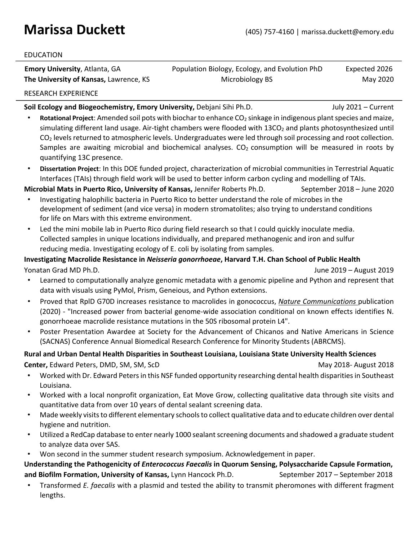# **Marissa Duckett** (405) 757-4160 | marissa.duckett@emory.edu

#### EDUCATION

**Emory University**, Atlanta, GA **Population Biology, Ecology, and Evolution PhD** Expected 2026 **The University of Kansas,** Lawrence, KS Microbiology BS May 2020

RESEARCH EXPERIENCE

**Soil Ecology and Biogeochemistry, Emory University,** Debjani Sihi Ph.D. July 2021 – Current

- **Rotational Project**: Amended soil pots with biochar to enhance CO<sub>2</sub> sinkage in indigenous plant species and maize, simulating different land usage. Air-tight chambers were flooded with 13CO<sub>2</sub> and plants photosynthesized until  $CO<sub>2</sub>$  levels returned to atmospheric levels. Undergraduates were led through soil processing and root collection. Samples are awaiting microbial and biochemical analyses.  $CO<sub>2</sub>$  consumption will be measured in roots by quantifying 13C presence.
- **Dissertation Project**: In this DOE funded project, characterization of microbial communities in Terrestrial Aquatic Interfaces (TAIs) through field work will be used to better inform carbon cycling and modelling of TAIs.

**Microbial Mats in Puerto Rico, University of Kansas, Jennifer Roberts Ph.D.** September 2018 – June 2020

- Investigating halophilic bacteria in Puerto Rico to better understand the role of microbes in the development of sediment (and vice versa) in modern stromatolites; also trying to understand conditions for life on Mars with this extreme environment.
- Led the mini mobile lab in Puerto Rico during field research so that I could quickly inoculate media. Collected samples in unique locations individually, and prepared methanogenic and iron and sulfur reducing media. Investigating ecology of E. coli by isolating from samples.

# **Investigating Macrolide Resistance in** *Neisseria gonorrhoeae***, Harvard T.H. Chan School of Public Health**

Yonatan Grad MD Ph.D. June 2019 – August 2019

- Learned to computationally analyze genomic metadata with a genomic pipeline and Python and represent that data with visuals using PyMol, Prism, Geneious, and Python extensions.
- Proved that RplD G70D increases resistance to macrolides in gonococcus, *Nature Communications* publication (2020) - "Increased power from bacterial genome-wide association conditional on known effects identifies N. gonorrhoeae macrolide resistance mutations in the 50S ribosomal protein L4".
- Poster Presentation Awardee at Society for the Advancement of Chicanos and Native Americans in Science (SACNAS) Conference Annual Biomedical Research Conference for Minority Students (ABRCMS).

## **Rural and Urban Dental Health Disparities in Southeast Louisiana, Louisiana State University Health Sciences Center,** Edward Peters, DMD, SM, SM, ScDMay 2018- August 2018

- Worked with Dr. Edward Peters in this NSF funded opportunity researching dental health disparities in Southeast Louisiana.
- Worked with a local nonprofit organization, Eat Move Grow, collecting qualitative data through site visits and quantitative data from over 10 years of dental sealant screening data.
- Made weekly visits to different elementary schools to collect qualitative data and to educate children over dental hygiene and nutrition.
- Utilized a RedCap database to enter nearly 1000 sealant screening documents and shadowed a graduate student to analyze data over SAS.
- Won second in the summer student research symposium. Acknowledgement in paper.

**Understanding the Pathogenicity of** *Enterococcus Faecalis* **in Quorum Sensing, Polysaccharide Capsule Formation,**  and Biofilm Formation, University of Kansas, Lynn Hancock Ph.D. September 2017 - September 2018

• Transformed *E. faecalis* with a plasmid and tested the ability to transmit pheromones with different fragment lengths.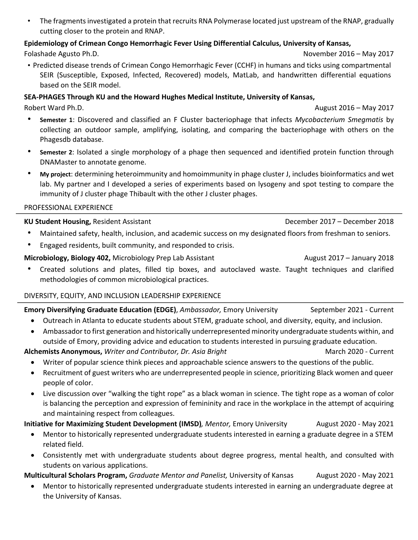• The fragments investigated a protein that recruits RNA Polymerase located just upstream of the RNAP, gradually cutting closer to the protein and RNAP.

# **Epidemiology of Crimean Congo Hemorrhagic Fever Using Differential Calculus, University of Kansas,**

Folashade Agusto Ph.D. November 2016 – May 2017

• Predicted disease trends of Crimean Congo Hemorrhagic Fever (CCHF) in humans and ticks using compartmental SEIR (Susceptible, Exposed, Infected, Recovered) models, MatLab, and handwritten differential equations based on the SEIR model.

## **SEA-PHAGES Through KU and the Howard Hughes Medical Institute, University of Kansas,**

Robert Ward Ph.D. August 2016 – May 2017

- **Semester 1**: Discovered and classified an F Cluster bacteriophage that infects *Mycobacterium Smegmatis* by collecting an outdoor sample, amplifying, isolating, and comparing the bacteriophage with others on the Phagesdb database.
- **Semester 2**: Isolated a single morphology of a phage then sequenced and identified protein function through DNAMaster to annotate genome.
- **My project**: determining heteroimmunity and homoimmunity in phage cluster J, includes bioinformatics and wet lab. My partner and I developed a series of experiments based on lysogeny and spot testing to compare the immunity of J cluster phage Thibault with the other J cluster phages.

#### PROFESSIONAL EXPERIENCE

## **KU Student Housing,** Resident Assistant December 2017 – December 2018

- Maintained safety, health, inclusion, and academic success on my designated floors from freshman to seniors.
- Engaged residents, built community, and responded to crisis.

## **Microbiology, Biology 402, Microbiology Prep Lab Assistant Microbiology August 2017 – January 2018**

• Created solutions and plates, filled tip boxes, and autoclaved waste. Taught techniques and clarified methodologies of common microbiological practices.

## DIVERSITY, EQUITY, AND INCLUSION LEADERSHIP EXPERIENCE

## **Emory Diversifying Graduate Education (EDGE)**, *Ambassador*, *Emory University* September 2021 - Current

- Outreach in Atlanta to educate students about STEM, graduate school, and diversity, equity, and inclusion.
- Ambassador to first generation and historically underrepresented minority undergraduate students within, and outside of Emory, providing advice and education to students interested in pursuing graduate education.

## Alchemists Anonymous, *Writer and Contributor, Dr. Asia Bright* Machanger 2020 - Current

- Writer of popular science think pieces and approachable science answers to the questions of the public.
- Recruitment of guest writers who are underrepresented people in science, prioritizing Black women and queer people of color.
- Live discussion over "walking the tight rope" as a black woman in science. The tight rope as a woman of color is balancing the perception and expression of femininity and race in the workplace in the attempt of acquiring and maintaining respect from colleagues.

# **Initiative for Maximizing Student Development (IMSD)***, Mentor,* Emory University August 2020 - May 2021

- Mentor to historically represented undergraduate students interested in earning a graduate degree in a STEM related field.
- Consistently met with undergraduate students about degree progress, mental health, and consulted with students on various applications.

## **Multicultural Scholars Program,** *Graduate Mentor and Panelist,* University of Kansas August 2020 - May 2021

• Mentor to historically represented undergraduate students interested in earning an undergraduate degree at the University of Kansas.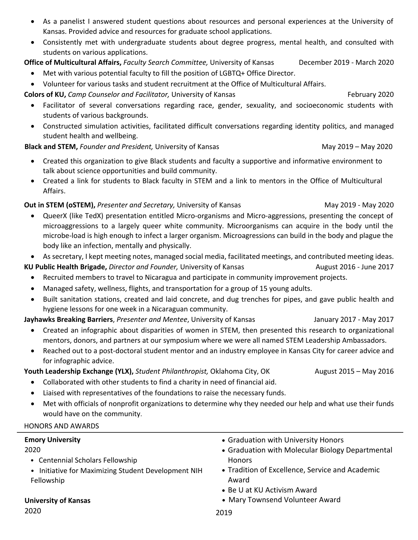- As a panelist I answered student questions about resources and personal experiences at the University of Kansas. Provided advice and resources for graduate school applications.
- Consistently met with undergraduate students about degree progress, mental health, and consulted with students on various applications.

**Office of Multicultural Affairs,** *Faculty Search Committee,* University of Kansas December 2019 - March 2020

- Met with various potential faculty to fill the position of LGBTQ+ Office Director.
- Volunteer for various tasks and student recruitment at the Office of Multicultural Affairs.

**Colors of KU,** *Camp Counselor and Facilitator*, University of Kansas February 2020

- Facilitator of several conversations regarding race, gender, sexuality, and socioeconomic students with students of various backgrounds.
- Constructed simulation activities, facilitated difficult conversations regarding identity politics, and managed student health and wellbeing.

## **Black and STEM,** *Founder and President,* University of KansasMay 2019 – May 2020

- Created this organization to give Black students and faculty a supportive and informative environment to talk about science opportunities and build community.
- Created a link for students to Black faculty in STEM and a link to mentors in the Office of Multicultural Affairs.

# **Out in STEM (oSTEM),** Presenter and Secretary, University of Kansas May 2019 - May 2020 May 2020

- QueerX (like TedX) presentation entitled Micro-organisms and Micro-aggressions, presenting the concept of microaggressions to a largely queer white community. Microorganisms can acquire in the body until the microbe-load is high enough to infect a larger organism. Microagressions can build in the body and plague the body like an infection, mentally and physically.
- As secretary, I kept meeting notes, managed social media, facilitated meetings, and contributed meeting ideas.

## **KU Public Health Brigade,** *Director and Founder*, University of Kansas August 2016 - June 2017

- Recruited members to travel to Nicaragua and participate in community improvement projects.
- Managed safety, wellness, flights, and transportation for a group of 15 young adults.
- Built sanitation stations, created and laid concrete, and dug trenches for pipes, and gave public health and hygiene lessons for one week in a Nicaraguan community.

## **Jayhawks Breaking Barriers**, *Presenter and Mentee*, University of Kansas January 2017 - May 2017

- Created an infographic about disparities of women in STEM, then presented this research to organizational mentors, donors, and partners at our symposium where we were all named STEM Leadership Ambassadors.
- Reached out to a post-doctoral student mentor and an industry employee in Kansas City for career advice and for infographic advice.

Youth Leadership Exchange (YLX), *Student Philanthropist*, Oklahoma City, OK August 2015 – May 2016

- Collaborated with other students to find a charity in need of financial aid.
- Liaised with representatives of the foundations to raise the necessary funds.
- Met with officials of nonprofit organizations to determine why they needed our help and what use their funds would have on the community.

## HONORS AND AWARDS

## **Emory University**

## 2020

- Centennial Scholars Fellowship
- Initiative for Maximizing Student Development NIH Fellowship
- Graduation with University Honors
- Graduation with Molecular Biology Departmental Honors
- Tradition of Excellence, Service and Academic Award
- Be U at KU Activism Award
- Mary Townsend Volunteer Award

**University of Kansas**

2020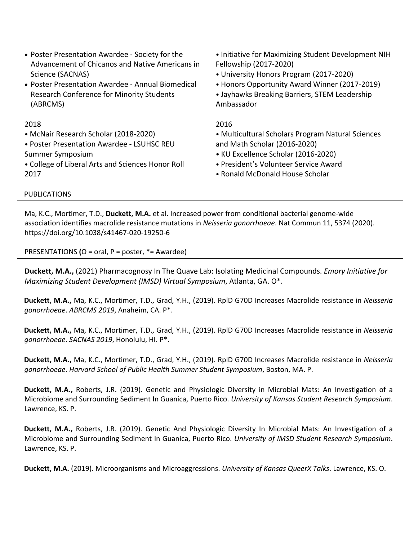- Poster Presentation Awardee Society for the Advancement of Chicanos and Native Americans in Science (SACNAS)
- Poster Presentation Awardee Annual Biomedical Research Conference for Minority Students (ABRCMS)

#### 2018

- McNair Research Scholar (2018-2020)
- Poster Presentation Awardee LSUHSC REU Summer Symposium
- College of Liberal Arts and Sciences Honor Roll 2017
- Initiative for Maximizing Student Development NIH Fellowship (2017-2020)
- University Honors Program (2017-2020)
- Honors Opportunity Award Winner (2017-2019)
- Jayhawks Breaking Barriers, STEM Leadership Ambassador

#### 2016

• Multicultural Scholars Program Natural Sciences and Math Scholar (2016-2020)

- KU Excellence Scholar (2016-2020)
- President's Volunteer Service Award
- Ronald McDonald House Scholar

#### PUBLICATIONS

Ma, K.C., Mortimer, T.D., **Duckett, M.A.** et al. Increased power from conditional bacterial genome-wide association identifies macrolide resistance mutations in *Neisseria gonorrhoeae*. Nat Commun 11, 5374 (2020). https://doi.org/10.1038/s41467-020-19250-6

PRESENTATIONS **(**O = oral, P = poster, \*= Awardee)

**Duckett, M.A.,** (2021) Pharmacognosy In The Quave Lab: Isolating Medicinal Compounds. *Emory Initiative for Maximizing Student Development (IMSD) Virtual Symposium*, Atlanta, GA. O\*.

**Duckett, M.A.,** Ma, K.C., Mortimer, T.D., Grad, Y.H., (2019). RplD G70D Increases Macrolide resistance in *Neisseria gonorrhoeae*. *ABRCMS 2019*, Anaheim, CA. P\*.

**Duckett, M.A.,** Ma, K.C., Mortimer, T.D., Grad, Y.H., (2019). RplD G70D Increases Macrolide resistance in *Neisseria gonorrhoeae*. *SACNAS 2019*, Honolulu, HI. P\*.

**Duckett, M.A.,** Ma, K.C., Mortimer, T.D., Grad, Y.H., (2019). RplD G70D Increases Macrolide resistance in *Neisseria gonorrhoeae*. *Harvard School of Public Health Summer Student Symposium*, Boston, MA. P.

**Duckett, M.A.,** Roberts, J.R. (2019). Genetic and Physiologic Diversity in Microbial Mats: An Investigation of a Microbiome and Surrounding Sediment In Guanica, Puerto Rico. *University of Kansas Student Research Symposium*. Lawrence, KS. P.

**Duckett, M.A.,** Roberts, J.R. (2019). Genetic And Physiologic Diversity In Microbial Mats: An Investigation of a Microbiome and Surrounding Sediment In Guanica, Puerto Rico. *University of IMSD Student Research Symposium*. Lawrence, KS. P.

**Duckett, M.A.** (2019). Microorganisms and Microaggressions. *University of Kansas QueerX Talks*. Lawrence, KS. O.